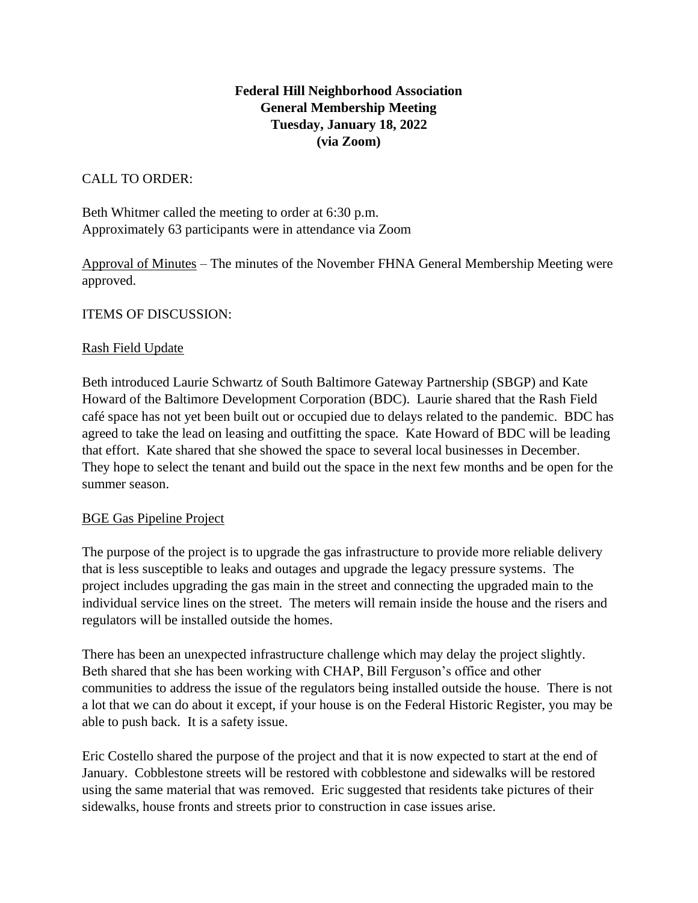# **Federal Hill Neighborhood Association General Membership Meeting Tuesday, January 18, 2022 (via Zoom)**

### CALL TO ORDER:

Beth Whitmer called the meeting to order at 6:30 p.m. Approximately 63 participants were in attendance via Zoom

Approval of Minutes – The minutes of the November FHNA General Membership Meeting were approved.

#### ITEMS OF DISCUSSION:

#### Rash Field Update

Beth introduced Laurie Schwartz of South Baltimore Gateway Partnership (SBGP) and Kate Howard of the Baltimore Development Corporation (BDC). Laurie shared that the Rash Field café space has not yet been built out or occupied due to delays related to the pandemic. BDC has agreed to take the lead on leasing and outfitting the space. Kate Howard of BDC will be leading that effort. Kate shared that she showed the space to several local businesses in December. They hope to select the tenant and build out the space in the next few months and be open for the summer season.

#### BGE Gas Pipeline Project

The purpose of the project is to upgrade the gas infrastructure to provide more reliable delivery that is less susceptible to leaks and outages and upgrade the legacy pressure systems. The project includes upgrading the gas main in the street and connecting the upgraded main to the individual service lines on the street. The meters will remain inside the house and the risers and regulators will be installed outside the homes.

There has been an unexpected infrastructure challenge which may delay the project slightly. Beth shared that she has been working with CHAP, Bill Ferguson's office and other communities to address the issue of the regulators being installed outside the house. There is not a lot that we can do about it except, if your house is on the Federal Historic Register, you may be able to push back. It is a safety issue.

Eric Costello shared the purpose of the project and that it is now expected to start at the end of January. Cobblestone streets will be restored with cobblestone and sidewalks will be restored using the same material that was removed. Eric suggested that residents take pictures of their sidewalks, house fronts and streets prior to construction in case issues arise.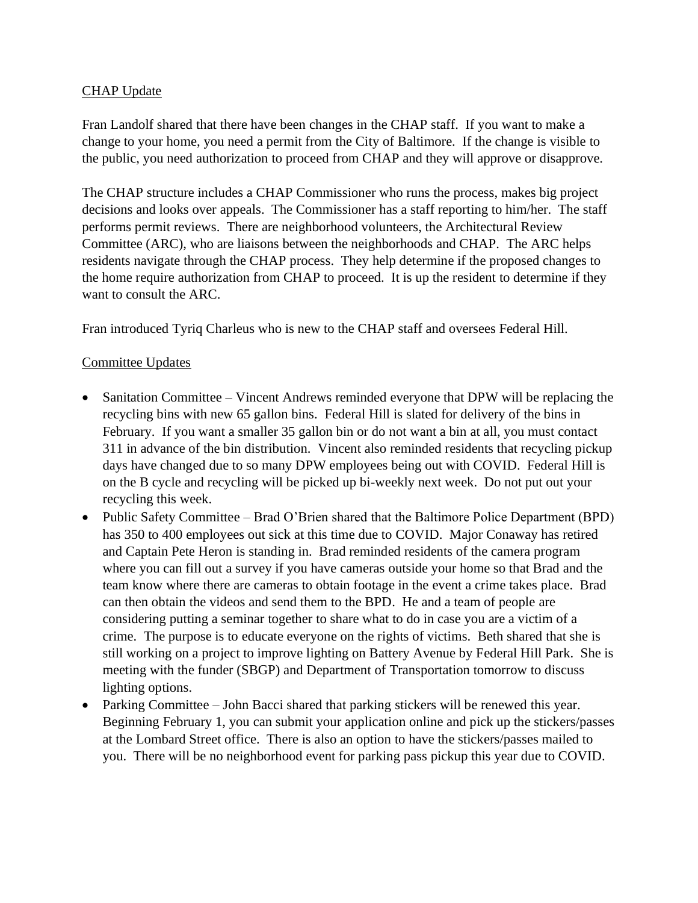## CHAP Update

Fran Landolf shared that there have been changes in the CHAP staff. If you want to make a change to your home, you need a permit from the City of Baltimore. If the change is visible to the public, you need authorization to proceed from CHAP and they will approve or disapprove.

The CHAP structure includes a CHAP Commissioner who runs the process, makes big project decisions and looks over appeals. The Commissioner has a staff reporting to him/her. The staff performs permit reviews. There are neighborhood volunteers, the Architectural Review Committee (ARC), who are liaisons between the neighborhoods and CHAP. The ARC helps residents navigate through the CHAP process. They help determine if the proposed changes to the home require authorization from CHAP to proceed. It is up the resident to determine if they want to consult the ARC.

Fran introduced Tyriq Charleus who is new to the CHAP staff and oversees Federal Hill.

## Committee Updates

- Sanitation Committee Vincent Andrews reminded everyone that DPW will be replacing the recycling bins with new 65 gallon bins. Federal Hill is slated for delivery of the bins in February. If you want a smaller 35 gallon bin or do not want a bin at all, you must contact 311 in advance of the bin distribution. Vincent also reminded residents that recycling pickup days have changed due to so many DPW employees being out with COVID. Federal Hill is on the B cycle and recycling will be picked up bi-weekly next week. Do not put out your recycling this week.
- Public Safety Committee Brad O'Brien shared that the Baltimore Police Department (BPD) has 350 to 400 employees out sick at this time due to COVID. Major Conaway has retired and Captain Pete Heron is standing in. Brad reminded residents of the camera program where you can fill out a survey if you have cameras outside your home so that Brad and the team know where there are cameras to obtain footage in the event a crime takes place. Brad can then obtain the videos and send them to the BPD. He and a team of people are considering putting a seminar together to share what to do in case you are a victim of a crime. The purpose is to educate everyone on the rights of victims. Beth shared that she is still working on a project to improve lighting on Battery Avenue by Federal Hill Park. She is meeting with the funder (SBGP) and Department of Transportation tomorrow to discuss lighting options.
- Parking Committee John Bacci shared that parking stickers will be renewed this year. Beginning February 1, you can submit your application online and pick up the stickers/passes at the Lombard Street office. There is also an option to have the stickers/passes mailed to you. There will be no neighborhood event for parking pass pickup this year due to COVID.